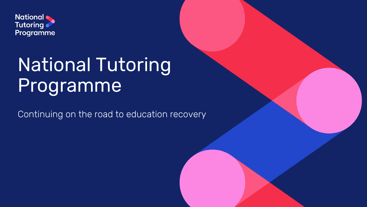

# National Tutoring Programme

Continuing on the road to education recovery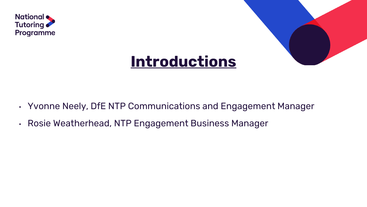



## **Introductions**

- Yvonne Neely, DfE NTP Communications and Engagement Manager
- Rosie Weatherhead, NTP Engagement Business Manager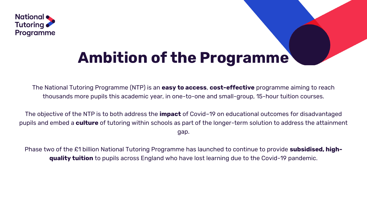

# **Ambition of the Programme**

The National Tutoring Programme (NTP) is an **easy to access**, **cost-effective** programme aiming to reach thousands more pupils this academic year, in one-to-one and small-group, 15-hour tuition courses.

The objective of the NTP is to both address the **impact** of Covid–19 on educational outcomes for disadvantaged pupils and embed a **culture** of tutoring within schools as part of the longer-term solution to address the attainment gap.

Phase two of the £1 billion National Tutoring Programme has launched to continue to provide **subsidised, highquality tuition** to pupils across England who have lost learning due to the Covid-19 pandemic.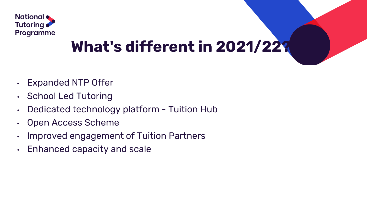

# **What's different in 2021/22?**

- Expanded NTP Offer
- School Led Tutoring
- Dedicated technology platform Tuition Hub
- Open Access Scheme
- Improved engagement of Tuition Partners
- Enhanced capacity and scale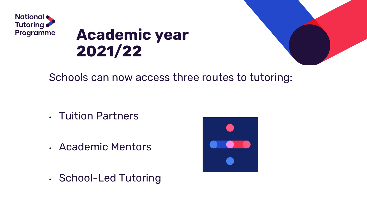

# **Academic year 2021/22**

### Schools can now access three routes to tutoring:

- Tuition Partners
- Academic Mentors
- School-Led Tutoring

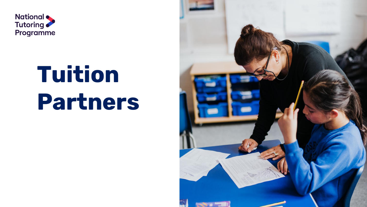

# **Tuition Partners**

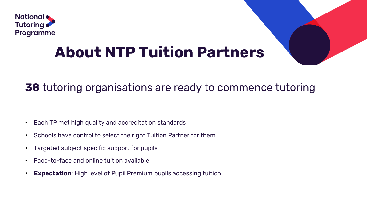

# **About NTP Tuition Partners**

### **38** tutoring organisations are ready to commence tutoring

- Each TP met high quality and accreditation standards
- Schools have control to select the right Tuition Partner for them
- Targeted subject specific support for pupils
- Face-to-face and online tuition available
- **Expectation**: High level of Pupil Premium pupils accessing tuition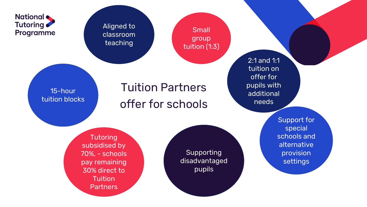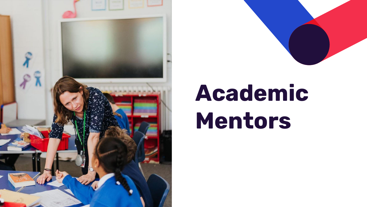



# **Academic Mentors**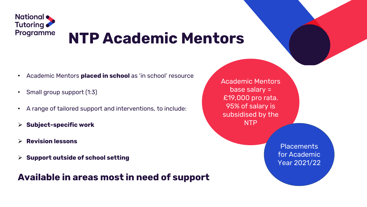

# **NTP Academic Mentors**

- Academic Mentors **placed in school** as 'in school' resource
- Small group support (1:3)
- A range of tailored support and interventions, to include:
- ➢ **Subject-specific work**
- ➢ **Revision lessons**
- ➢ **Support outside of school setting**

### **Available in areas most in need of support**

Academic Mentors base salary = £19,000 pro rata. 95% of salary is subsidised by the NTP

> **Placements** for Academic Year 2021/22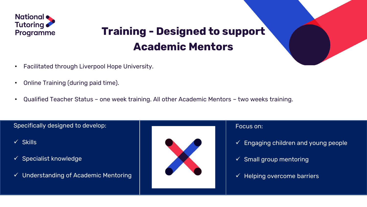

## **Training - Designed to support Academic Mentors**

- Facilitated through Liverpool Hope University.
- Online Training (during paid time).
- Qualified Teacher Status one week training. All other Academic Mentors two weeks training.

#### Specifically designed to develop:

- ✓ Skills
- $\checkmark$  Specialist knowledge
- ✓ Understanding of Academic Mentoring



#### Focus on:

- $\checkmark$  Engaging children and young people
- $\checkmark$  Small group mentoring
- $\checkmark$  Helping overcome barriers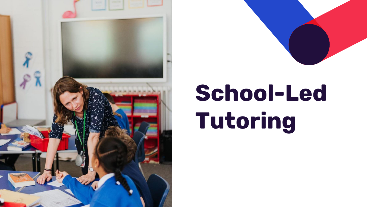



# **School-Led Tutoring**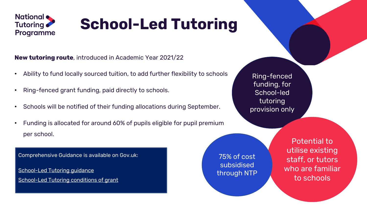

# **School-Led Tutoring**

**New tutoring route**, introduced in Academic Year 2021/22

- Ability to fund locally sourced tuition, to add further flexibility to schools
- Ring-fenced grant funding, paid directly to schools.
- Schools will be notified of their funding allocations during September.
- Funding is allocated for around 60% of pupils eligible for pupil premium per school.

Comprehensive Guidance is available on Gov.uk:

[School-Led Tutoring guidance](https://www.gov.uk/government/publications/school-led-tutoring-grant) [School-Led Tutoring conditions of grant](https://www.gov.uk/government/publications/school-led-tutoring-conditions-of-grant) 75% of cost subsidised

through NTP

Ring-fenced funding, for School-led tutoring provision only

> Potential to utilise existing staff, or tutors who are familiar to schools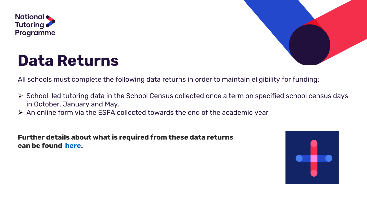

## **Data Returns**



All schools must complete the following data returns in order to maintain eligibility for funding:

- ➢ School-led tutoring data in the School Census collected once a term on specified school census days in October, January and May.
- ➢ An online form via the ESFA collected towards the end of the academic year

**Further details about what is required from these data returns can be found [here.](https://www.gov.uk/government/publications/school-led-tutoring-grant)**

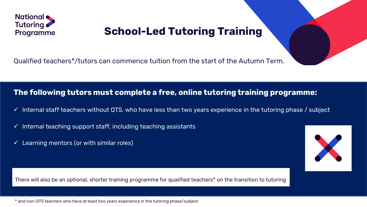

## **School-Led Tutoring Training**

Qualified teachers\*/tutors can commence tuition from the start of the Autumn Term.

#### **The following tutors must complete a free, online tutoring training programme:**

- $\checkmark$  Internal staff teachers without QTS, who have less than two years experience in the tutoring phase / subject
- $\checkmark$  Internal teaching support staff, including teaching assistants
- $\checkmark$  Learning mentors (or with similar roles)

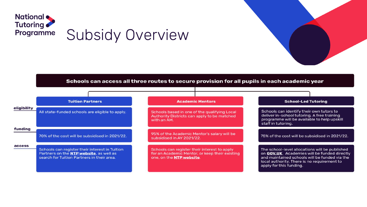

#### Schools can access all three routes to secure provision for all pupils in each academic year

|             | <b>Tuition Partners</b>                                                                                                                         | <b>Academic Mentors</b>                                                                                                    | <b>School-Led Tutoring</b>                                                                                                                                                                                                |
|-------------|-------------------------------------------------------------------------------------------------------------------------------------------------|----------------------------------------------------------------------------------------------------------------------------|---------------------------------------------------------------------------------------------------------------------------------------------------------------------------------------------------------------------------|
| eligibility | All state-funded schools are eligible to apply.                                                                                                 | Schools based in one of the qualifying Local<br>Authority Districts can apply to be matched<br>with an AM.                 | Schools can identify their own tutors to<br>deliver in-school tutoring. A free training<br>programme will be available to help upskill<br>staff in tutoring.                                                              |
| funding     | 70% of the cost will be subsidised in 2021/22.                                                                                                  | 95% of the Academic Mentor's salary will be<br>subsidised in AY 2021/22.                                                   | 75% of the cost will be subsidised in 2021/22.                                                                                                                                                                            |
| access      | Schools can register their interest in Tuition<br>Partners on the <b>NTP website</b> , as well as<br>search for Tuition Partners in their area. | Schools can register their interest to apply<br>for an Academic Mentor, or keep their existing<br>one, on the NTP website. | The school-level allocations will be published<br>on GOV.UK. Academies will be funded directly<br>and maintained schools will be funded via the<br>local authority. There is no requirement to<br>apply for this funding. |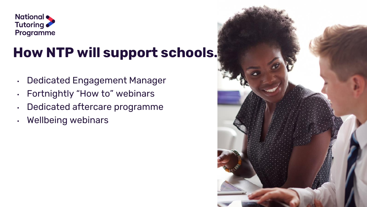

## **How NTP will support schools…**

- Dedicated Engagement Manager
- Fortnightly "How to" webinars
- Dedicated aftercare programme
- Wellbeing webinars

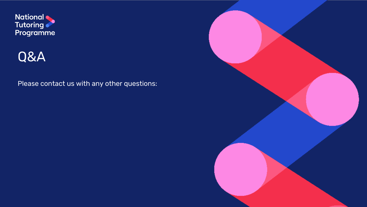



#### Please contact us with any other questions: